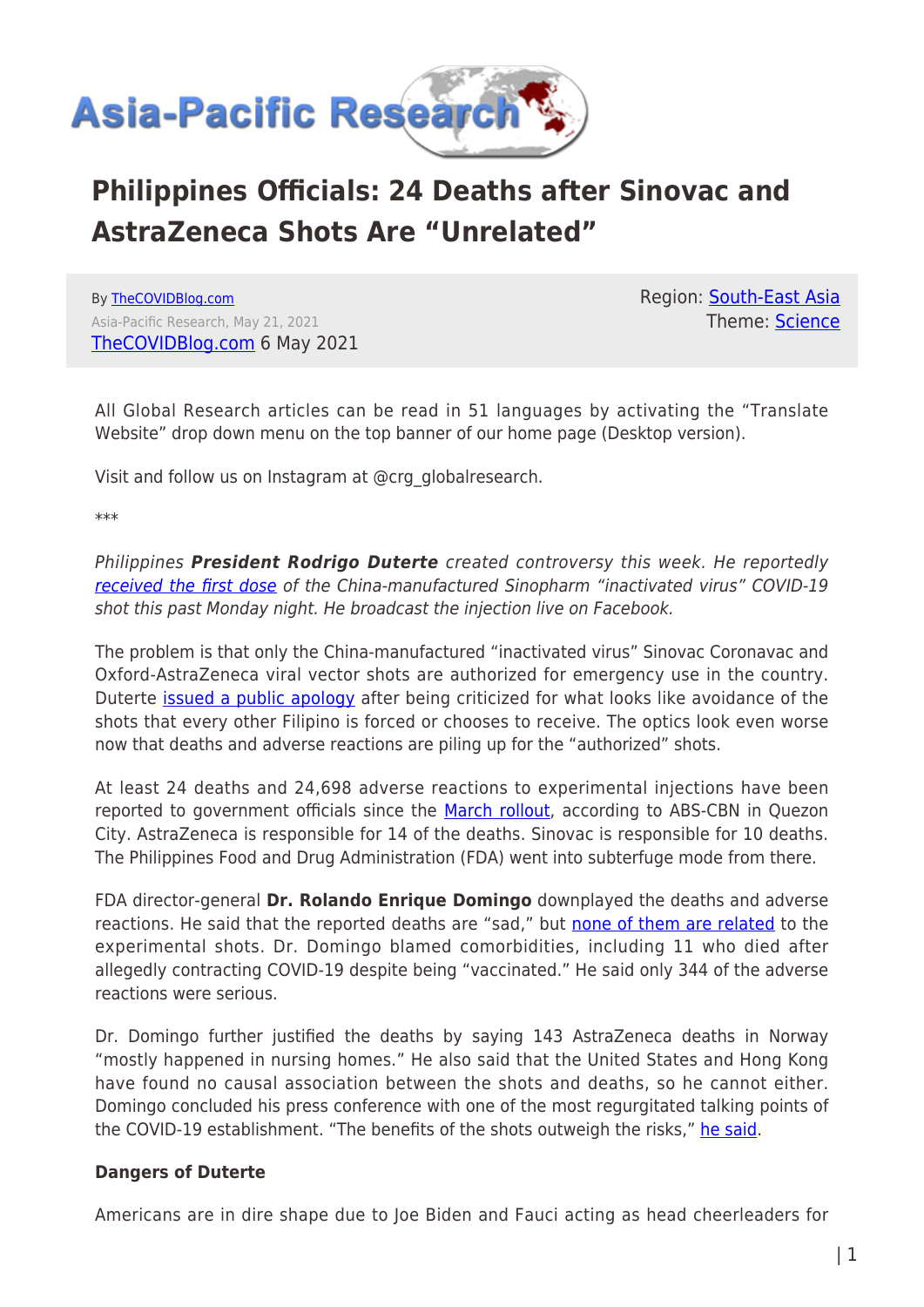

## **Philippines Officials: 24 Deaths after Sinovac and AstraZeneca Shots Are "Unrelated"**

By [TheCOVIDBlog.com](https://www.asia-pacificresearch.com/author/thecovidblog) Asia-Pacific Research, May 21, 2021 [TheCOVIDBlog.com](https://thecovidblog.com/2021/05/06/philippines-officials-24-deaths-after-sinovac-and-astrazeneca-shots-are-unrelated/?__cf_chl_jschl_tk__=8367a201e16b7bdf06e20397f016c553e32f88f9-1621608328-0-AQ9ih3I4HwCTNYSfvC95uPkDhNOQtZtxLF0EOskWTxSE6hWuc9_nlCJb3yoGVIwdUQFGiN_3is5yYiV2DShuNd1drWLkTFkh3nNydsm1GADGr_2JjTAiOyrV_8KlO5Wj3fnk0BksKZsvalXs_bk0g1y38d7tVzi6A4Ee8YZJmDvRmxPxd0_x6EZjFDt06mwgOmaFhBX2Xfv41HLBLSKlpjIbL3VOecsXqgGzZpdUNlCcDbbS3RXn5SXEFMzEaM7k5RNTLJJ5MecS-bWviOoKxd2YYEI6ajwYBiY9X6pA2OCgTIkrjHFPyT8D7KCXd6jJgugDfPtVRHY6G9ppPxwtq2jkz7D_gTx2JIiPAzMxlvigw1u9a3E-1UizUeJwpd4MfJucfYeRcUOsh2xsTOMV-Wtnp-2Uo2mHbhPuoiGxj0tAInFasEoRVlICCGhG3ETfqk7fa45ZlSBl4D6B4wVXLGEH2qiBpgQgBgjaDREOj8Ee4FJn-AmCTEHCyqrJEF9yyXX_eFgJ_B8e8tGJFDOMQBs) 6 May 2021 Region: [South-East Asia](https://www.asia-pacificresearch.com/region/south-east-asia) Theme: [Science](https://www.asia-pacificresearch.com/theme/science)

All Global Research articles can be read in 51 languages by activating the "Translate Website" drop down menu on the top banner of our home page (Desktop version).

Visit and follow us on Instagram at @crg\_globalresearch.

\*\*\*

Philippines *President Rodrigo Duterte* created controversy this week. He reportedly [received the first dose](https://www.msn.com/en-us/news/world/philippines-duterte-receives-first-dose-of-sinopharms-covid-19-vaccine/ar-BB1gjntM) of the China-manufactured Sinopharm "inactivated virus" COVID-19 shot this past Monday night. He broadcast the injection live on Facebook.

The problem is that only the China-manufactured "inactivated virus" Sinovac Coronavac and Oxford-AstraZeneca viral vector shots are authorized for emergency use in the country. Duterte *[issued a public apology](https://www.bbc.com/news/world-asia-57004924)* after being criticized for what looks like avoidance of the shots that every other Filipino is forced or chooses to receive. The optics look even worse now that deaths and adverse reactions are piling up for the "authorized" shots.

At least 24 deaths and 24,698 adverse reactions to experimental injections have been reported to government officials since the [March rollout,](https://www.cnnphilippines.com/news/2021/3/25/TIMELINE-COVID-19-vaccines-deliveries-rollout-Philippines.html) according to ABS-CBN in Quezon City. AstraZeneca is responsible for 14 of the deaths. Sinovac is responsible for 10 deaths. The Philippines Food and Drug Administration (FDA) went into subterfuge mode from there.

FDA director-general **Dr. Rolando Enrique Domingo** downplayed the deaths and adverse reactions. He said that the reported deaths are "sad," but [none of them are related](https://news.abs-cbn.com/news/04/23/21/majority-of-24-deaths-reported-after-vaccination-unrelated-to-covid-19-vaccines-fda-doh) to the experimental shots. Dr. Domingo blamed comorbidities, including 11 who died after allegedly contracting COVID-19 despite being "vaccinated." He said only 344 of the adverse reactions were serious.

Dr. Domingo further justified the deaths by saying 143 AstraZeneca deaths in Norway "mostly happened in nursing homes." He also said that the United States and Hong Kong have found no causal association between the shots and deaths, so he cannot either. Domingo concluded his press conference with one of the most regurgitated talking points of the COVID-19 establishment. "The benefits of the shots outweigh the risks," [he said.](https://www.bworldonline.com/philippines-reports-24-deaths-after-vaccination/)

## **Dangers of Duterte**

Americans are in dire shape due to Joe Biden and Fauci acting as head cheerleaders for